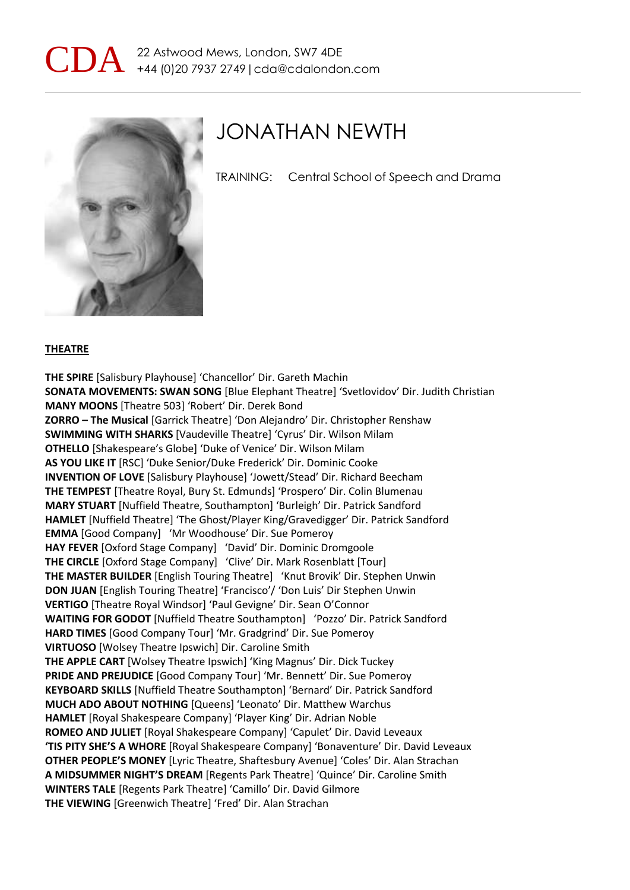



# JONATHAN NEWTH

TRAINING: Central School of Speech and Drama

#### **THEATRE**

**THE SPIRE** [Salisbury Playhouse] 'Chancellor' Dir. Gareth Machin **SONATA MOVEMENTS: SWAN SONG** [Blue Elephant Theatre] 'Svetlovidov' Dir. Judith Christian **MANY MOONS** [Theatre 503] 'Robert' Dir. Derek Bond **ZORRO – The Musical** [Garrick Theatre] 'Don Alejandro' Dir. Christopher Renshaw **SWIMMING WITH SHARKS** [Vaudeville Theatre] 'Cyrus' Dir. Wilson Milam **OTHELLO** [Shakespeare's Globe] 'Duke of Venice' Dir. Wilson Milam **AS YOU LIKE IT** [RSC] 'Duke Senior/Duke Frederick' Dir. Dominic Cooke **INVENTION OF LOVE** [Salisbury Playhouse] 'Jowett/Stead' Dir. Richard Beecham **THE TEMPEST** [Theatre Royal, Bury St. Edmunds] 'Prospero' Dir. Colin Blumenau **MARY STUART** [Nuffield Theatre, Southampton] 'Burleigh' Dir. Patrick Sandford **HAMLET** [Nuffield Theatre] 'The Ghost/Player King/Gravedigger' Dir. Patrick Sandford **EMMA** [Good Company] 'Mr Woodhouse' Dir. Sue Pomeroy **HAY FEVER** [Oxford Stage Company] 'David' Dir. Dominic Dromgoole **THE CIRCLE** [Oxford Stage Company] 'Clive' Dir. Mark Rosenblatt [Tour] **THE MASTER BUILDER** [English Touring Theatre] 'Knut Brovik' Dir. Stephen Unwin **DON JUAN** [English Touring Theatre] 'Francisco'/ 'Don Luis' Dir Stephen Unwin **VERTIGO** [Theatre Royal Windsor] 'Paul Gevigne' Dir. Sean O'Connor **WAITING FOR GODOT** [Nuffield Theatre Southampton] 'Pozzo' Dir. Patrick Sandford **HARD TIMES** [Good Company Tour] 'Mr. Gradgrind' Dir. Sue Pomeroy **VIRTUOSO** [Wolsey Theatre Ipswich] Dir. Caroline Smith **THE APPLE CART** [Wolsey Theatre Ipswich] 'King Magnus' Dir. Dick Tuckey **PRIDE AND PREJUDICE** [Good Company Tour] 'Mr. Bennett' Dir. Sue Pomeroy **KEYBOARD SKILLS** [Nuffield Theatre Southampton] 'Bernard' Dir. Patrick Sandford **MUCH ADO ABOUT NOTHING** [Queens] 'Leonato' Dir. Matthew Warchus **HAMLET** [Royal Shakespeare Company] 'Player King' Dir. Adrian Noble **ROMEO AND JULIET** [Royal Shakespeare Company] 'Capulet' Dir. David Leveaux **'TIS PITY SHE'S A WHORE** [Royal Shakespeare Company] 'Bonaventure' Dir. David Leveaux **OTHER PEOPLE'S MONEY** [Lyric Theatre, Shaftesbury Avenue] 'Coles' Dir. Alan Strachan **A MIDSUMMER NIGHT'S DREAM** [Regents Park Theatre] 'Quince' Dir. Caroline Smith **WINTERS TALE** [Regents Park Theatre] 'Camillo' Dir. David Gilmore **THE VIEWING** [Greenwich Theatre] 'Fred' Dir. Alan Strachan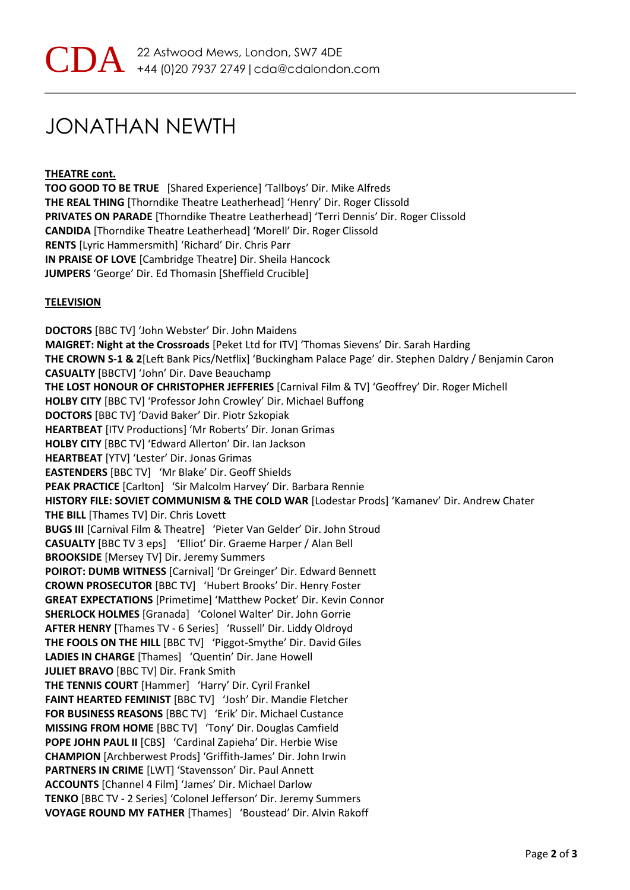# JONATHAN NEWTH

**THEATRE cont.**

**TOO GOOD TO BE TRUE** [Shared Experience] 'Tallboys' Dir. Mike Alfreds **THE REAL THING** [Thorndike Theatre Leatherhead] 'Henry' Dir. Roger Clissold **PRIVATES ON PARADE** [Thorndike Theatre Leatherhead] 'Terri Dennis' Dir. Roger Clissold **CANDIDA** [Thorndike Theatre Leatherhead] 'Morell' Dir. Roger Clissold **RENTS** [Lyric Hammersmith] 'Richard' Dir. Chris Parr **IN PRAISE OF LOVE** [Cambridge Theatre] Dir. Sheila Hancock **JUMPERS** 'George' Dir. Ed Thomasin [Sheffield Crucible]

### **TELEVISION**

**DOCTORS** [BBC TV] 'John Webster' Dir. John Maidens **MAIGRET: Night at the Crossroads** [Peket Ltd for ITV] 'Thomas Sievens' Dir. Sarah Harding **THE CROWN S-1 & 2**[Left Bank Pics/Netflix] 'Buckingham Palace Page' dir. Stephen Daldry / Benjamin Caron **CASUALTY** [BBCTV] 'John' Dir. Dave Beauchamp **THE LOST HONOUR OF CHRISTOPHER JEFFERIES** [Carnival Film & TV] 'Geoffrey' Dir. Roger Michell **HOLBY CITY** [BBC TV] 'Professor John Crowley' Dir. Michael Buffong **DOCTORS** [BBC TV] 'David Baker' Dir. Piotr Szkopiak **HEARTBEAT** [ITV Productions] 'Mr Roberts' Dir. Jonan Grimas **HOLBY CITY** [BBC TV] 'Edward Allerton' Dir. Ian Jackson **HEARTBEAT** [YTV] 'Lester' Dir. Jonas Grimas **EASTENDERS** [BBC TV] 'Mr Blake' Dir. Geoff Shields **PEAK PRACTICE** [Carlton] 'Sir Malcolm Harvey' Dir. Barbara Rennie **HISTORY FILE: SOVIET COMMUNISM & THE COLD WAR** [Lodestar Prods] 'Kamanev' Dir. Andrew Chater **THE BILL** [Thames TV] Dir. Chris Lovett **BUGS III** [Carnival Film & Theatre] 'Pieter Van Gelder' Dir. John Stroud **CASUALTY** [BBC TV 3 eps] 'Elliot' Dir. Graeme Harper / Alan Bell **BROOKSIDE** [Mersey TV] Dir. Jeremy Summers **POIROT: DUMB WITNESS** [Carnival] 'Dr Greinger' Dir. Edward Bennett **CROWN PROSECUTOR** [BBC TV] 'Hubert Brooks' Dir. Henry Foster **GREAT EXPECTATIONS** [Primetime] 'Matthew Pocket' Dir. Kevin Connor **SHERLOCK HOLMES** [Granada] 'Colonel Walter' Dir. John Gorrie **AFTER HENRY** [Thames TV - 6 Series] 'Russell' Dir. Liddy Oldroyd **THE FOOLS ON THE HILL** [BBC TV] 'Piggot-Smythe' Dir. David Giles **LADIES IN CHARGE** [Thames] 'Quentin' Dir. Jane Howell **JULIET BRAVO** [BBC TV] Dir. Frank Smith **THE TENNIS COURT** [Hammer] 'Harry' Dir. Cyril Frankel **FAINT HEARTED FEMINIST** [BBC TV] 'Josh' Dir. Mandie Fletcher **FOR BUSINESS REASONS** [BBC TV] 'Erik' Dir. Michael Custance **MISSING FROM HOME** [BBC TV] 'Tony' Dir. Douglas Camfield **POPE JOHN PAUL II** [CBS] 'Cardinal Zapieha' Dir. Herbie Wise **CHAMPION** [Archberwest Prods] 'Griffith-James' Dir. John Irwin **PARTNERS IN CRIME** [LWT] 'Stavensson' Dir. Paul Annett **ACCOUNTS** [Channel 4 Film] 'James' Dir. Michael Darlow **TENKO** [BBC TV - 2 Series] 'Colonel Jefferson' Dir. Jeremy Summers **VOYAGE ROUND MY FATHER** [Thames] 'Boustead' Dir. Alvin Rakoff